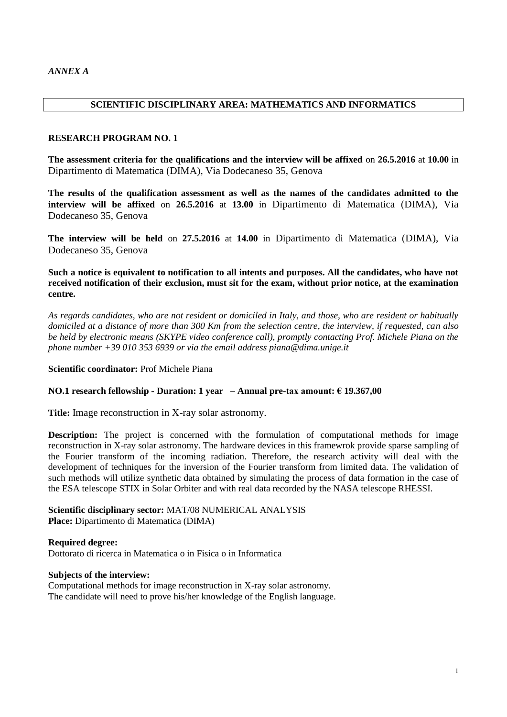## **SCIENTIFIC DISCIPLINARY AREA: MATHEMATICS AND INFORMATICS**

#### **RESEARCH PROGRAM NO. 1**

**The assessment criteria for the qualifications and the interview will be affixed** on **26.5.2016** at **10.00** in Dipartimento di Matematica (DIMA), Via Dodecaneso 35, Genova

**The results of the qualification assessment as well as the names of the candidates admitted to the interview will be affixed** on **26.5.2016** at **13.00** in Dipartimento di Matematica (DIMA), Via Dodecaneso 35, Genova

**The interview will be held** on **27.5.2016** at **14.00** in Dipartimento di Matematica (DIMA), Via Dodecaneso 35, Genova

**Such a notice is equivalent to notification to all intents and purposes. All the candidates, who have not received notification of their exclusion, must sit for the exam, without prior notice, at the examination centre.**

*As regards candidates, who are not resident or domiciled in Italy, and those, who are resident or habitually domiciled at a distance of more than 300 Km from the selection centre, the interview, if requested, can also be held by electronic means (SKYPE video conference call), promptly contacting Prof. Michele Piana on the phone number +39 010 353 6939 or via the email address piana@dima.unige.it*

**Scientific coordinator:** Prof Michele Piana

#### **NO.1 research fellowship - Duration: 1 year – Annual pre-tax amount: € 19.367,00**

**Title:** Image reconstruction in X-ray solar astronomy.

**Description:** The project is concerned with the formulation of computational methods for image reconstruction in X-ray solar astronomy. The hardware devices in this framewrok provide sparse sampling of the Fourier transform of the incoming radiation. Therefore, the research activity will deal with the development of techniques for the inversion of the Fourier transform from limited data. The validation of such methods will utilize synthetic data obtained by simulating the process of data formation in the case of the ESA telescope STIX in Solar Orbiter and with real data recorded by the NASA telescope RHESSI.

**Scientific disciplinary sector:** MAT/08 NUMERICAL ANALYSIS **Place:** Dipartimento di Matematica (DIMA)

**Required degree:**  Dottorato di ricerca in Matematica o in Fisica o in Informatica

#### **Subjects of the interview:**

Computational methods for image reconstruction in X-ray solar astronomy. The candidate will need to prove his/her knowledge of the English language.